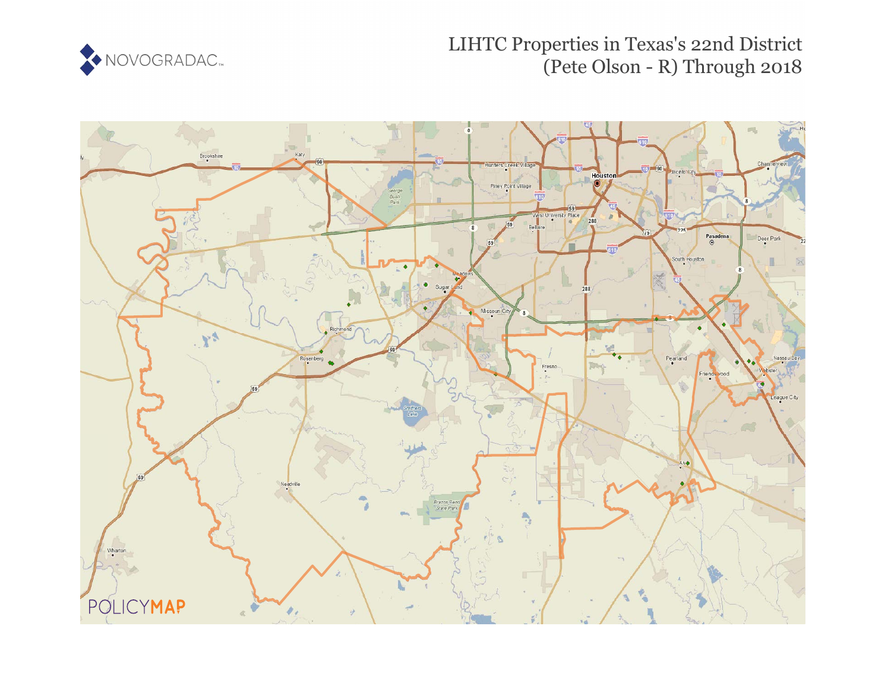

## LIHTC Properties in Texas's 22nd District (Pete Olson - R) Through 2018

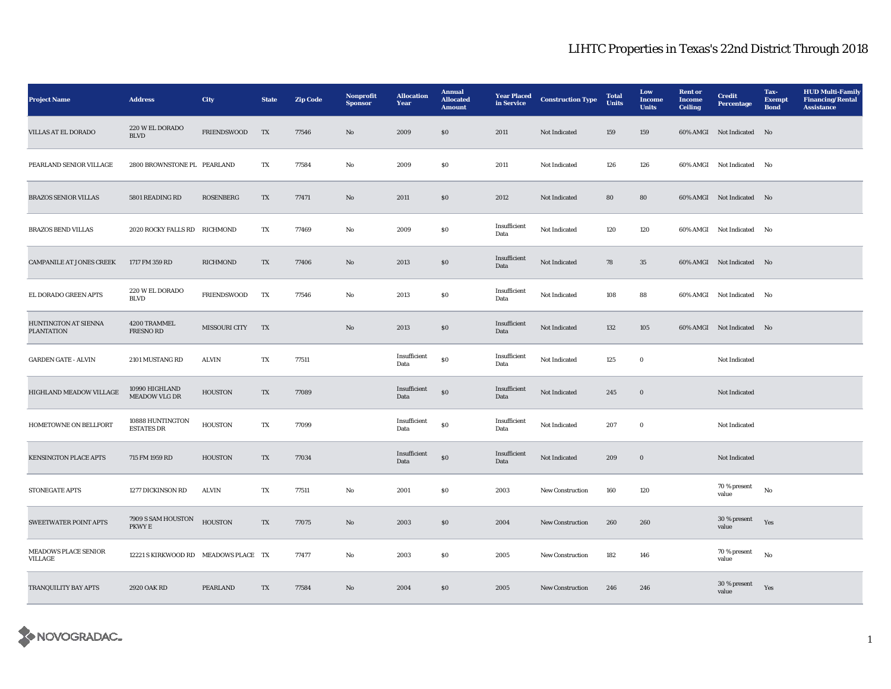## LIHTC Properties in Texas's 22nd District Through 2018

| <b>Project Name</b>                              | <b>Address</b>                           | <b>City</b>        | <b>State</b> | <b>Zip Code</b> | Nonprofit<br><b>Sponsor</b> | <b>Allocation</b><br>Year | <b>Annual</b><br><b>Allocated</b><br><b>Amount</b> | <b>Year Placed</b><br>in Service | <b>Construction Type</b> | <b>Total</b><br><b>Units</b> | Low<br>Income<br><b>Units</b> | <b>Rent</b> or<br>Income<br><b>Ceiling</b> | <b>Credit</b><br><b>Percentage</b> | Tax-<br><b>Exempt</b><br><b>Bond</b> | <b>HUD Multi-Family</b><br><b>Financing/Rental</b><br><b>Assistance</b> |
|--------------------------------------------------|------------------------------------------|--------------------|--------------|-----------------|-----------------------------|---------------------------|----------------------------------------------------|----------------------------------|--------------------------|------------------------------|-------------------------------|--------------------------------------------|------------------------------------|--------------------------------------|-------------------------------------------------------------------------|
| <b>VILLAS AT EL DORADO</b>                       | 220 W EL DORADO<br>$\operatorname{BLVD}$ | <b>FRIENDSWOOD</b> | TX           | 77546           | No                          | 2009                      | S <sub>0</sub>                                     | 2011                             | Not Indicated            | 159                          | 159                           |                                            | 60% AMGI Not Indicated No          |                                      |                                                                         |
| PEARLAND SENIOR VILLAGE                          | 2800 BROWNSTONE PL PEARLAND              |                    | TX           | 77584           | No                          | 2009                      | <b>SO</b>                                          | 2011                             | Not Indicated            | 126                          | 126                           |                                            | 60% AMGI Not Indicated No          |                                      |                                                                         |
| <b>BRAZOS SENIOR VILLAS</b>                      | 5801 READING RD                          | <b>ROSENBERG</b>   | TX           | 77471           | No                          | 2011                      | \$0                                                | 2012                             | Not Indicated            | 80                           | 80                            |                                            | 60% AMGI Not Indicated No          |                                      |                                                                         |
| <b>BRAZOS BEND VILLAS</b>                        | 2020 ROCKY FALLS RD RICHMOND             |                    | TX           | 77469           | No                          | 2009                      | S <sub>0</sub>                                     | Insufficient<br>Data             | Not Indicated            | 120                          | 120                           |                                            | 60% AMGI Not Indicated             | No                                   |                                                                         |
| <b>CAMPANILE AT JONES CREEK</b>                  | 1717 FM 359 RD                           | RICHMOND           | TX           | 77406           | No                          | 2013                      | $\$0$                                              | Insufficient<br>Data             | Not Indicated            | 78                           | $35\,$                        |                                            | 60% AMGI Not Indicated No          |                                      |                                                                         |
| EL DORADO GREEN APTS                             | 220 W EL DORADO<br><b>BLVD</b>           | <b>FRIENDSWOOD</b> | TX           | 77546           | $\rm No$                    | 2013                      | $\boldsymbol{\mathsf{S}}\boldsymbol{\mathsf{0}}$   | Insufficient<br>Data             | Not Indicated            | 108                          | 88                            |                                            | 60% AMGI Not Indicated No          |                                      |                                                                         |
| <b>HUNTINGTON AT SIENNA</b><br><b>PLANTATION</b> | 4200 TRAMMEL<br><b>FRESNO RD</b>         | MISSOURI CITY      | TX           |                 | No                          | 2013                      | S <sub>0</sub>                                     | Insufficient<br>$\mathbf{Data}$  | Not Indicated            | 132                          | 105                           |                                            | 60% AMGI Not Indicated No          |                                      |                                                                         |
| <b>GARDEN GATE - ALVIN</b>                       | 2101 MUSTANG RD                          | ALVIN              | TX           | 77511           |                             | Insufficient<br>Data      | $\$0$                                              | Insufficient<br>Data             | Not Indicated            | 125                          | $\bf{0}$                      |                                            | Not Indicated                      |                                      |                                                                         |
| HIGHLAND MEADOW VILLAGE                          | 10990 HIGHLAND<br><b>MEADOW VLG DR</b>   | <b>HOUSTON</b>     | TX           | 77089           |                             | Insufficient<br>Data      | $\$0$                                              | Insufficient<br>Data             | Not Indicated            | 245                          | $\bf{0}$                      |                                            | Not Indicated                      |                                      |                                                                         |
| HOMETOWNE ON BELLFORT                            | 10888 HUNTINGTON<br><b>ESTATES DR</b>    | <b>HOUSTON</b>     | TX           | 77099           |                             | Insufficient<br>Data      | ${\bf S0}$                                         | Insufficient<br>Data             | Not Indicated            | 207                          | $\mathbf 0$                   |                                            | Not Indicated                      |                                      |                                                                         |
| <b>KENSINGTON PLACE APTS</b>                     | 715 FM 1959 RD                           | <b>HOUSTON</b>     | TX           | 77034           |                             | Insufficient<br>Data      | $\$0$                                              | Insufficient<br>Data             | Not Indicated            | 209                          | $\mathbf 0$                   |                                            | Not Indicated                      |                                      |                                                                         |
| STONEGATE APTS                                   | 1277 DICKINSON RD                        | <b>ALVIN</b>       | TX           | 77511           | No                          | 2001                      | S <sub>0</sub>                                     | 2003                             | <b>New Construction</b>  | 160                          | 120                           |                                            | 70 % present<br>value              | No                                   |                                                                         |
| <b>SWEETWATER POINT APTS</b>                     | 7909 S SAM HOUSTON<br>PKWY E             | <b>HOUSTON</b>     | TX           | 77075           | No                          | 2003                      | \$0\$                                              | 2004                             | <b>New Construction</b>  | 260                          | 260                           |                                            | 30 % present<br>value              | Yes                                  |                                                                         |
| MEADOWS PLACE SENIOR<br>VILLAGE                  | 12221 S KIRKWOOD RD MEADOWS PLACE TX     |                    |              | 77477           | No                          | 2003                      | \$0                                                | 2005                             | New Construction         | 182                          | 146                           |                                            | 70 % present<br>value              | $\rm No$                             |                                                                         |
| TRANQUILITY BAY APTS                             | <b>2920 OAK RD</b>                       | <b>PEARLAND</b>    | TX           | 77584           | No                          | 2004                      | \$0\$                                              | 2005                             | <b>New Construction</b>  | 246                          | 246                           |                                            | 30 % present<br>value              | Yes                                  |                                                                         |